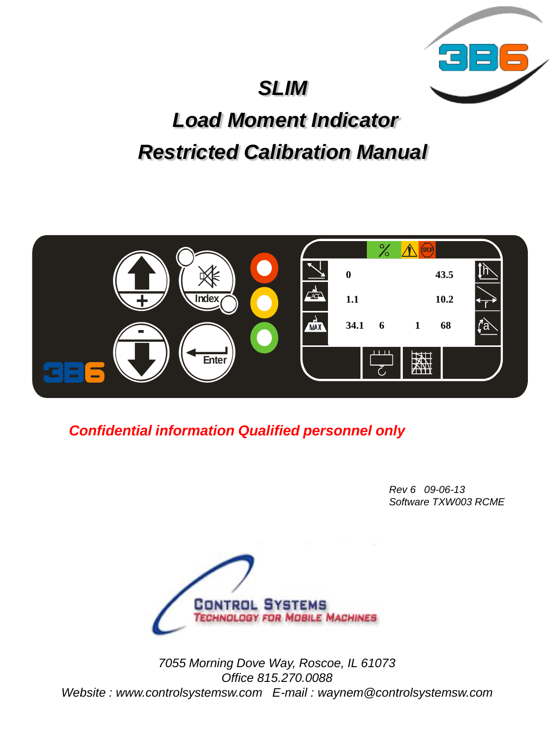# *SLIM*



# *Load Moment Indicator Restricted Calibration Manual*



*Confidential information Qualified personnel only*

*Rev 6 09-06-13 Software TXW003 RCME* 



*7055 Morning Dove Way, Roscoe, IL 61073 Office 815.270.0088 Website : www.controlsystemsw.com E-mail : waynem@controlsystemsw.com*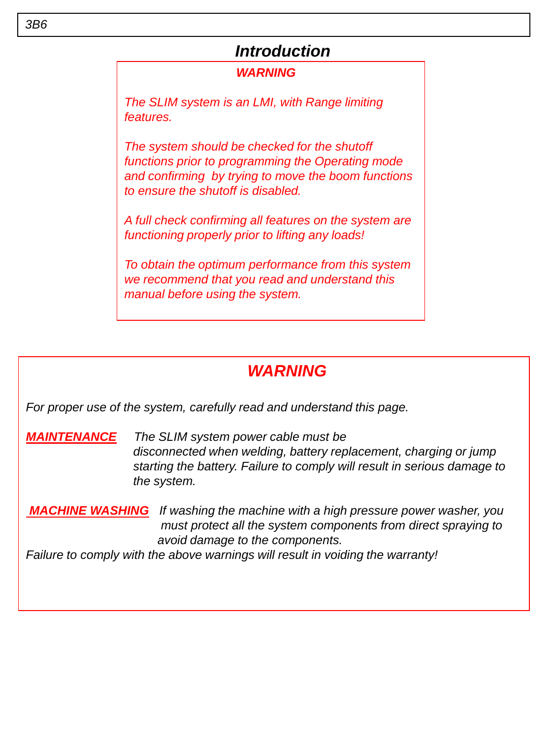#### *Introduction*

#### *WARNING*

*The SLIM system is an LMI, with Range limiting features.*

*The system should be checked for the shutoff functions prior to programming the Operating mode and confirming by trying to move the boom functions to ensure the shutoff is disabled.* 

*A full check confirming all features on the system are functioning properly prior to lifting any loads!*

*To obtain the optimum performance from this system we recommend that you read and understand this manual before using the system.*

### *WARNING*

*For proper use of the system, carefully read and understand this page.*

*MAINTENANCE The SLIM system power cable must be disconnected when welding, battery replacement, charging or jump starting the battery. Failure to comply will result in serious damage to the system.*

*MACHINE WASHING If washing the machine with a high pressure power washer, you must protect all the system components from direct spraying to avoid damage to the components.*

*Failure to comply with the above warnings will result in voiding the warranty!*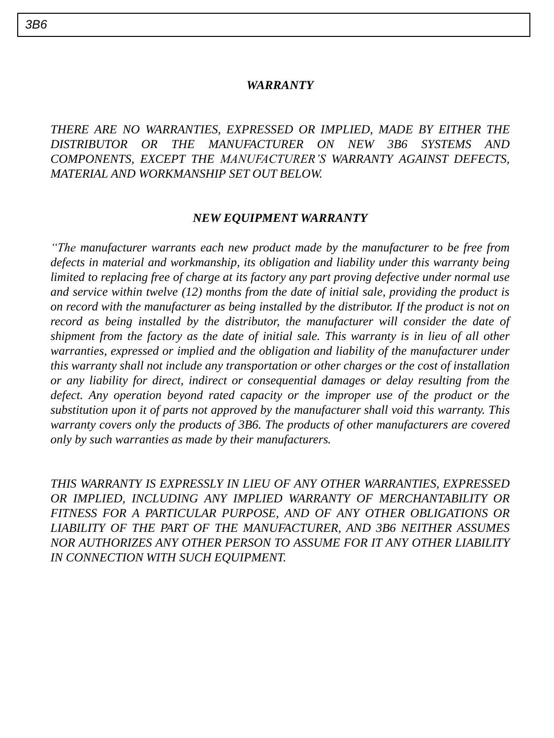#### *WARRANTY*

*THERE ARE NO WARRANTIES, EXPRESSED OR IMPLIED, MADE BY EITHER THE DISTRIBUTOR OR THE MANUFACTURER ON NEW 3B6 SYSTEMS AND COMPONENTS, EXCEPT THE MANUFACTURER'S WARRANTY AGAINST DEFECTS, MATERIAL AND WORKMANSHIP SET OUT BELOW.*

#### *NEW EQUIPMENT WARRANTY*

*"The manufacturer warrants each new product made by the manufacturer to be free from defects in material and workmanship, its obligation and liability under this warranty being limited to replacing free of charge at its factory any part proving defective under normal use and service within twelve (12) months from the date of initial sale, providing the product is on record with the manufacturer as being installed by the distributor. If the product is not on record as being installed by the distributor, the manufacturer will consider the date of shipment from the factory as the date of initial sale. This warranty is in lieu of all other warranties, expressed or implied and the obligation and liability of the manufacturer under this warranty shall not include any transportation or other charges or the cost of installation or any liability for direct, indirect or consequential damages or delay resulting from the defect. Any operation beyond rated capacity or the improper use of the product or the substitution upon it of parts not approved by the manufacturer shall void this warranty. This warranty covers only the products of 3B6. The products of other manufacturers are covered only by such warranties as made by their manufacturers.*

*THIS WARRANTY IS EXPRESSLY IN LIEU OF ANY OTHER WARRANTIES, EXPRESSED OR IMPLIED, INCLUDING ANY IMPLIED WARRANTY OF MERCHANTABILITY OR FITNESS FOR A PARTICULAR PURPOSE, AND OF ANY OTHER OBLIGATIONS OR LIABILITY OF THE PART OF THE MANUFACTURER, AND 3B6 NEITHER ASSUMES NOR AUTHORIZES ANY OTHER PERSON TO ASSUME FOR IT ANY OTHER LIABILITY IN CONNECTION WITH SUCH EQUIPMENT.*

*3B6*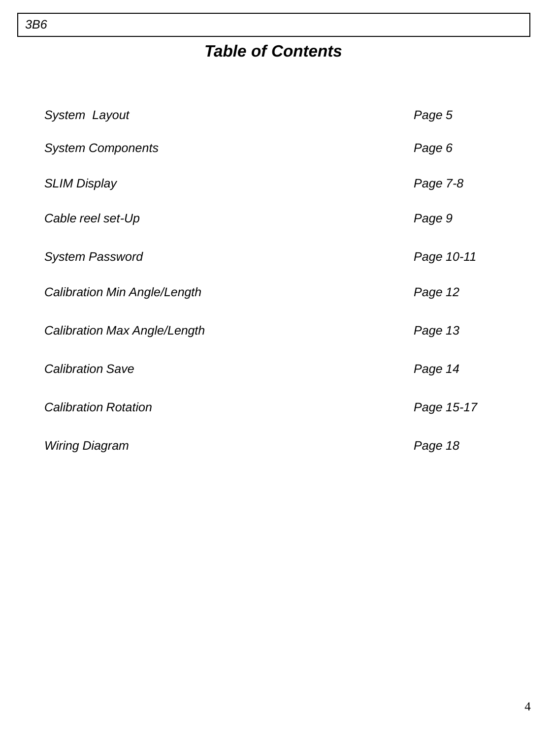## *Table of Contents*

| System Layout                       | Page 5     |
|-------------------------------------|------------|
| <b>System Components</b>            | Page 6     |
| <b>SLIM Display</b>                 | Page 7-8   |
| Cable reel set-Up                   | Page 9     |
| <b>System Password</b>              | Page 10-11 |
| <b>Calibration Min Angle/Length</b> | Page 12    |
| Calibration Max Angle/Length        | Page 13    |
| <b>Calibration Save</b>             | Page 14    |
| <b>Calibration Rotation</b>         | Page 15-17 |
| Wiring Diagram                      | Page 18    |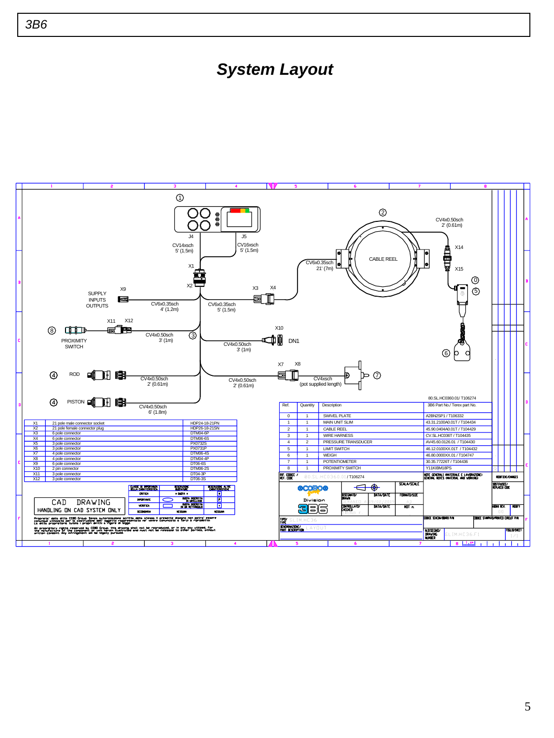#### *System Layout*

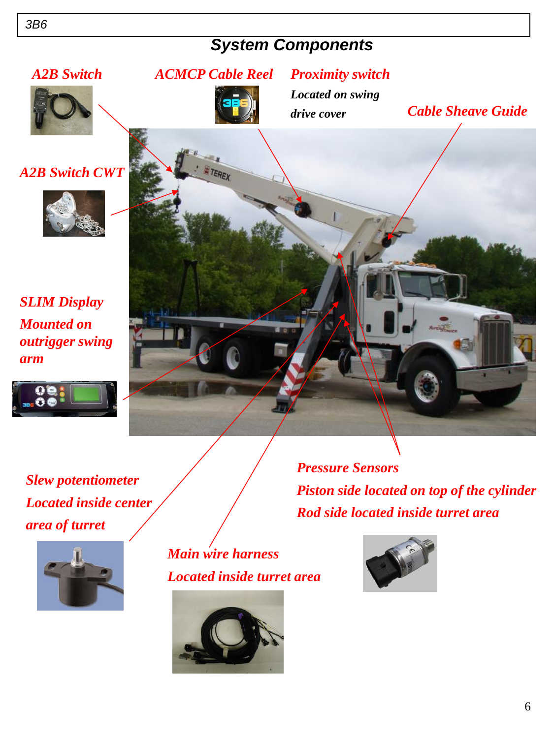### *System Components*



*Slew potentiometer Located inside center area of turret*



*Main wire harness Located inside turret area*



*Rod side located inside turret area*

*Piston side located on top of the cylinder*

*Pressure Sensors*

*arm*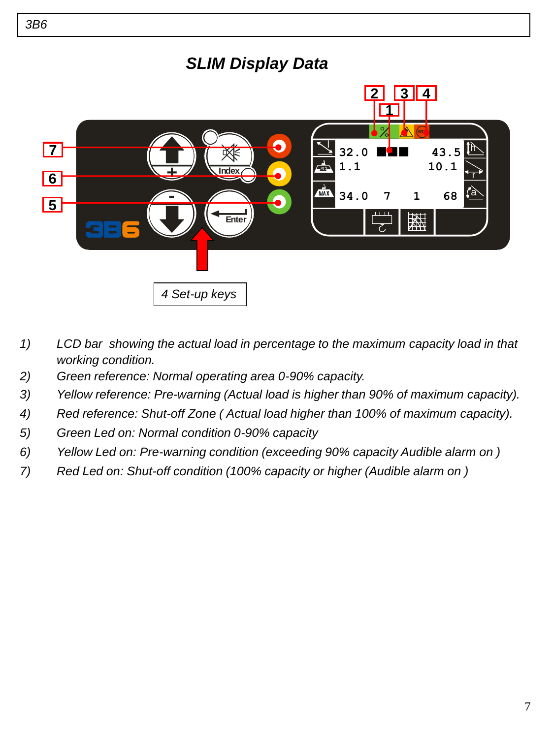

- *1) LCD bar showing the actual load in percentage to the maximum capacity load in that working condition.*
- *2) Green reference: Normal operating area 0-90% capacity.*
- *3) Yellow reference: Pre-warning (Actual load is higher than 90% of maximum capacity).*
- *4) Red reference: Shut-off Zone ( Actual load higher than 100% of maximum capacity).*
- *5) Green Led on: Normal condition 0-90% capacity*
- *6) Yellow Led on: Pre-warning condition (exceeding 90% capacity Audible alarm on )*
- *7) Red Led on: Shut-off condition (100% capacity or higher (Audible alarm on )*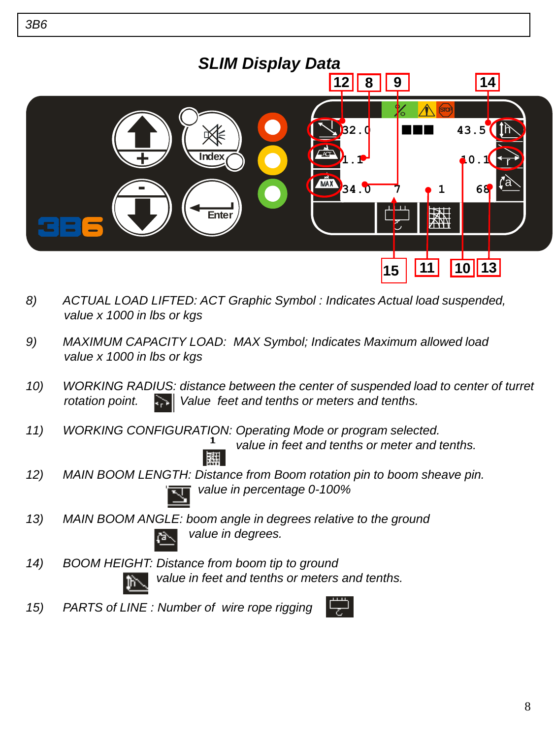

- *8) ACTUAL LOAD LIFTED: ACT Graphic Symbol : Indicates Actual load suspended, value x 1000 in lbs or kgs*
- *9) MAXIMUM CAPACITY LOAD: MAX Symbol; Indicates Maximum allowed load value x 1000 in lbs or kgs*
- *10) WORKING RADIUS: distance between the center of suspended load to center of turret rotation point. Value feet and tenths or meters and tenths.*
- *11) WORKING CONFIGURATION: Operating Mode or program selected.*

 *value in feet and tenths or meter and tenths.*

*12) MAIN BOOM LENGTH: Distance from Boom rotation pin to boom sheave pin. value in percentage 0-100%*

- *13) MAIN BOOM ANGLE: boom angle in degrees relative to the ground value in degrees.*
- *14) BOOM HEIGHT: Distance from boom tip to ground value in feet and tenths or meters and tenths.*
- *15) PARTS of LINE : Number of wire rope rigging*



8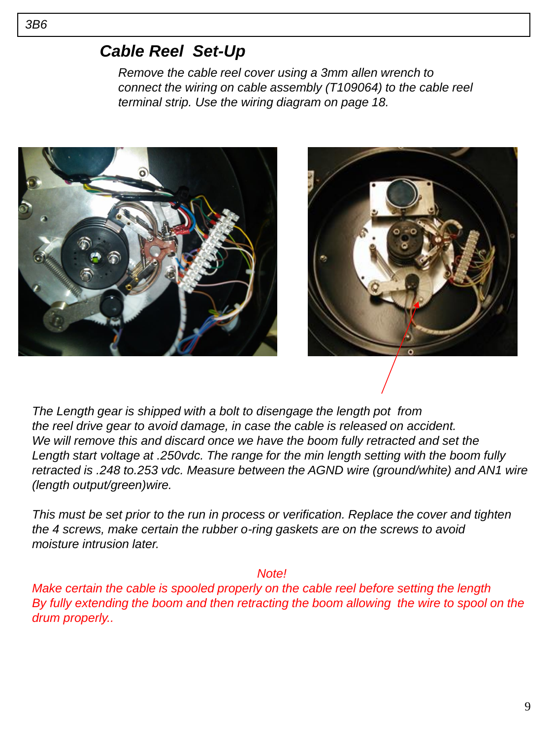#### *Cable Reel Set-Up*

*Remove the cable reel cover using a 3mm allen wrench to connect the wiring on cable assembly (T109064) to the cable reel terminal strip. Use the wiring diagram on page 18.* 





*The Length gear is shipped with a bolt to disengage the length pot from the reel drive gear to avoid damage, in case the cable is released on accident. We will remove this and discard once we have the boom fully retracted and set the Length start voltage at .250vdc. The range for the min length setting with the boom fully retracted is .248 to.253 vdc. Measure between the AGND wire (ground/white) and AN1 wire (length output/green)wire.*

*This must be set prior to the run in process or verification. Replace the cover and tighten the 4 screws, make certain the rubber o-ring gaskets are on the screws to avoid moisture intrusion later.*

 *Note!*

*Make certain the cable is spooled properly on the cable reel before setting the length By fully extending the boom and then retracting the boom allowing the wire to spool on the drum properly..*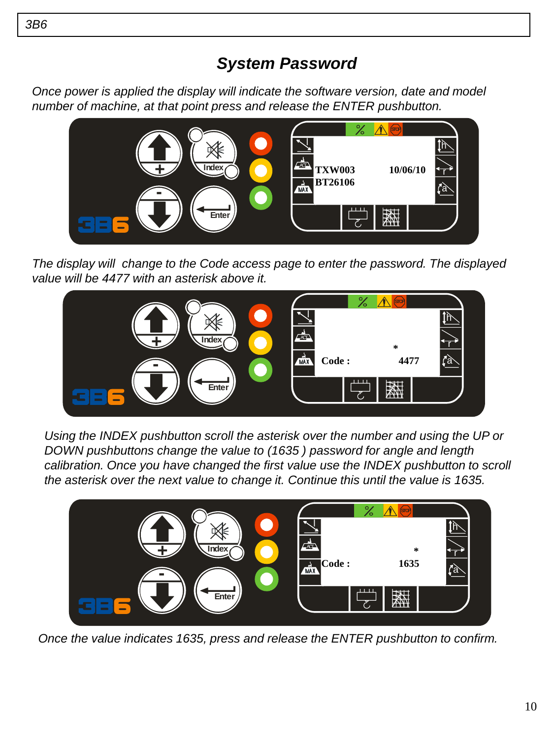### *System Password*

*Once power is applied the display will indicate the software version, date and model number of machine, at that point press and release the ENTER pushbutton.*



*The display will change to the Code access page to enter the password. The displayed value will be 4477 with an asterisk above it.*



*Using the INDEX pushbutton scroll the asterisk over the number and using the UP or DOWN pushbuttons change the value to (1635 ) password for angle and length calibration. Once you have changed the first value use the INDEX pushbutton to scroll the asterisk over the next value to change it. Continue this until the value is 1635.*



Once the value indicates 1635, press and release the ENTER pushbutton to confirm.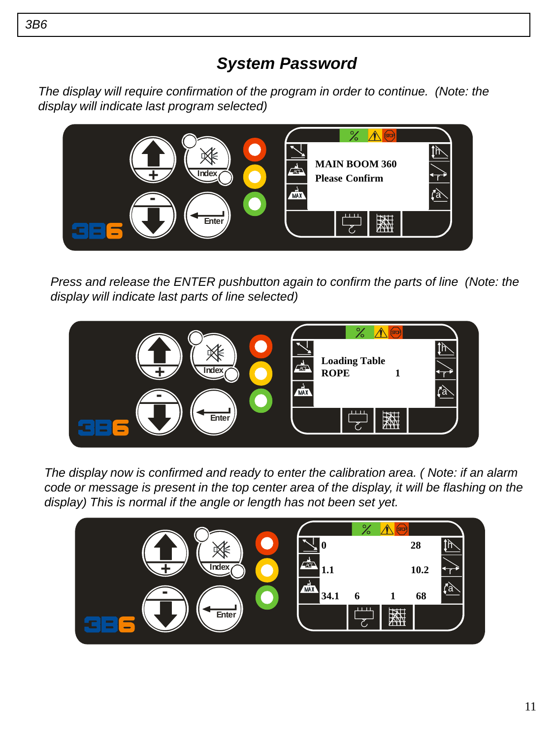### *System Password*

*The display will require confirmation of the program in order to continue. (Note: the display will indicate last program selected)*



*Press and release the ENTER pushbutton again to confirm the parts of line (Note: the display will indicate last parts of line selected)*



*The display now is confirmed and ready to enter the calibration area. ( Note: if an alarm code or message is present in the top center area of the display, it will be flashing on the display) This is normal if the angle or length has not been set yet.*

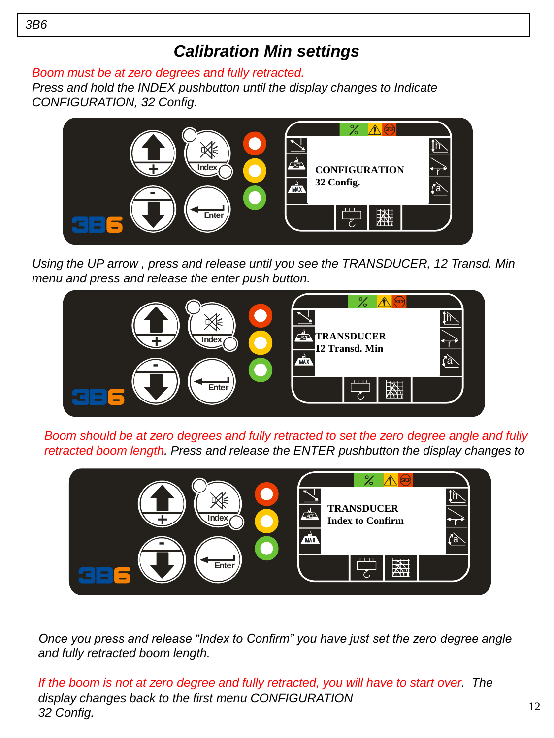#### *Calibration Min settings*

*Boom must be at zero degrees and fully retracted.*

*Press and hold the INDEX pushbutton until the display changes to Indicate CONFIGURATION, 32 Config.*



*Using the UP arrow , press and release until you see the TRANSDUCER, 12 Transd. Min menu and press and release the enter push button.*



*Boom should be at zero degrees and fully retracted to set the zero degree angle and fully retracted boom length. Press and release the ENTER pushbutton the display changes to* 



Once you press and release "Index to Confirm" you have just set the zero degree angle *and fully retracted boom length.*

*If the boom is not at zero degree and fully retracted, you will have to start over. The display changes back to the first menu CONFIGURATION 32 Config.*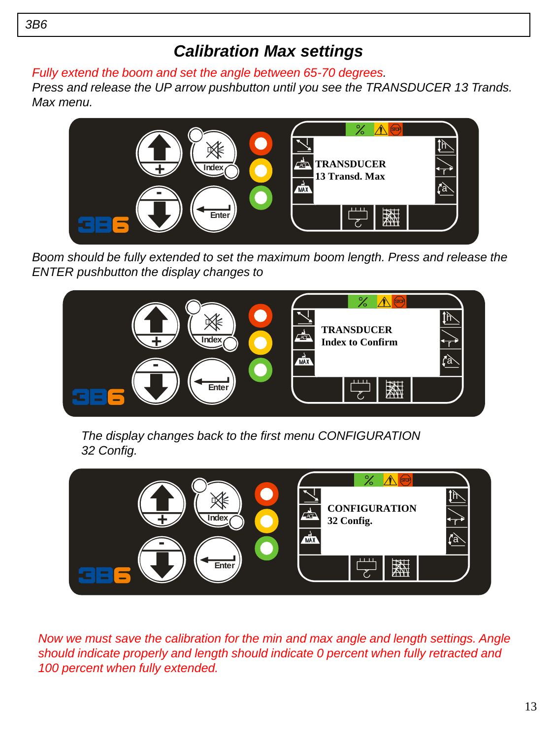#### *Calibration Max settings*

*Fully extend the boom and set the angle between 65-70 degrees.*

*Press and release the UP arrow pushbutton until you see the TRANSDUCER 13 Trands. Max menu.*



*Boom should be fully extended to set the maximum boom length. Press and release the ENTER pushbutton the display changes to* 



*The display changes back to the first menu CONFIGURATION 32 Config.*



Now we must save the calibration for the min and max angle and length settings. Angle *should indicate properly and length should indicate 0 percent when fully retracted and 100 percent when fully extended.*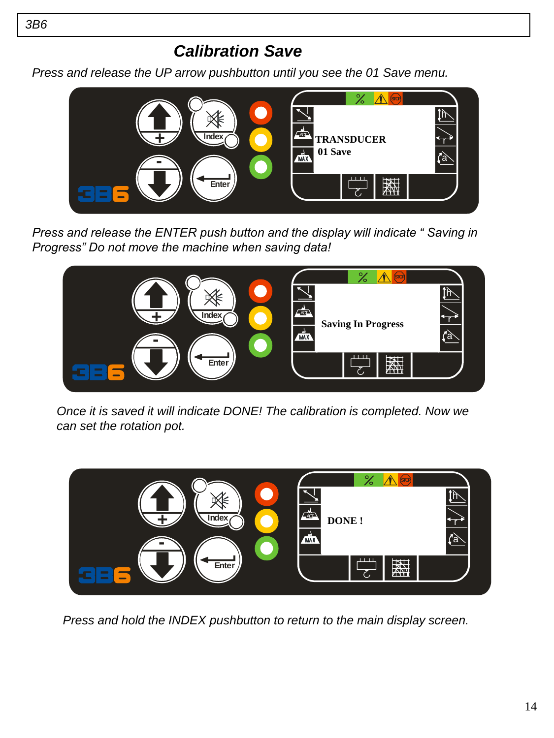*Press and release the UP arrow pushbutton until you see the 01 Save menu.*



*Press and release the ENTER push button and the display will indicate " Saving in Progress" Do not move the machine when saving data!* 



*Once it is saved it will indicate DONE! The calibration is completed. Now we can set the rotation pot.*



*Press and hold the INDEX pushbutton to return to the main display screen.*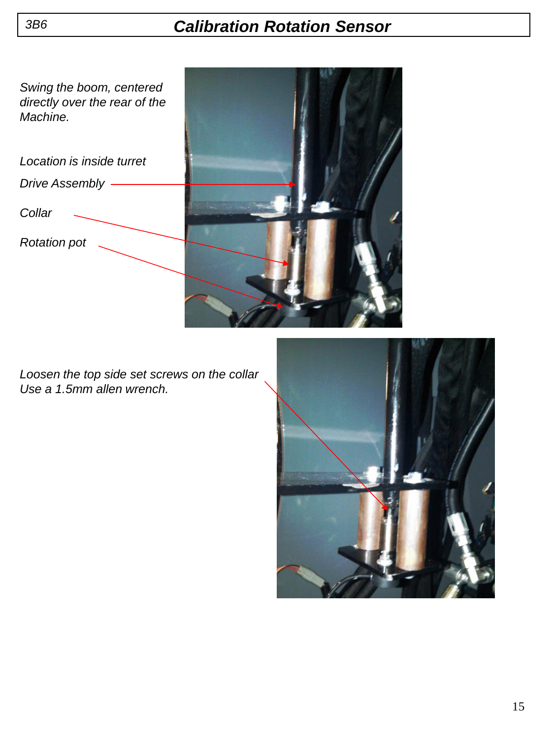#### *Calibration Rotation Sensor*

*Swing the boom, centered directly over the rear of the Machine.*

*Drive Assembly Collar Location is inside turret*

*Rotation pot*



*Loosen the top side set screws on the collar Use a 1.5mm allen wrench.* 

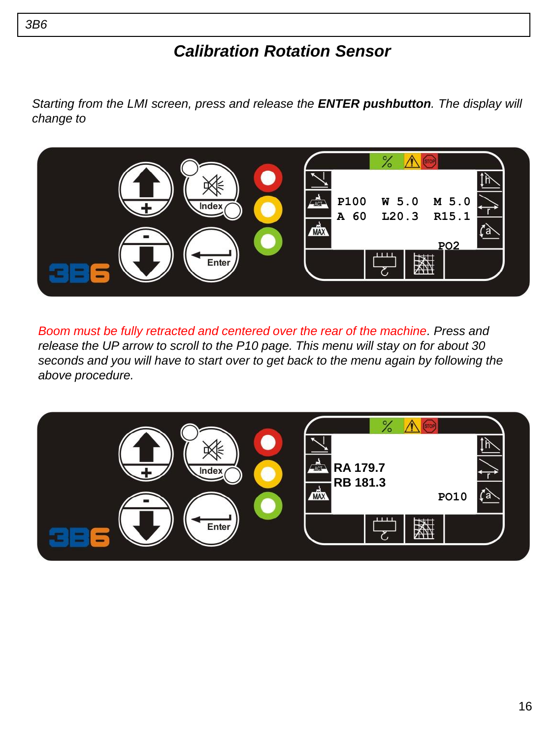#### *Calibration Rotation Sensor*

*Starting from the LMI screen, press and release the ENTER pushbutton. The display will change to*



*Boom must be fully retracted and centered over the rear of the machine. Press and release the UP arrow to scroll to the P10 page. This menu will stay on for about 30 seconds and you will have to start over to get back to the menu again by following the above procedure.*

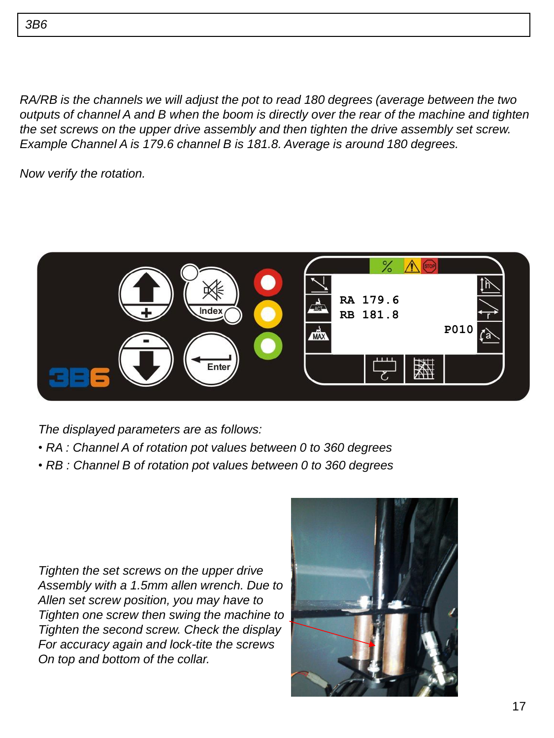*RA/RB is the channels we will adjust the pot to read 180 degrees (average between the two outputs of channel A and B when the boom is directly over the rear of the machine and tighten the set screws on the upper drive assembly and then tighten the drive assembly set screw. Example Channel A is 179.6 channel B is 181.8. Average is around 180 degrees.*

*Now verify the rotation.*



*The displayed parameters are as follows:*

- *RA : Channel A of rotation pot values between 0 to 360 degrees*
- *RB : Channel B of rotation pot values between 0 to 360 degrees*

*Tighten the set screws on the upper drive Assembly with a 1.5mm allen wrench. Due to Allen set screw position, you may have to Tighten one screw then swing the machine to Tighten the second screw. Check the display For accuracy again and lock-tite the screws On top and bottom of the collar.*